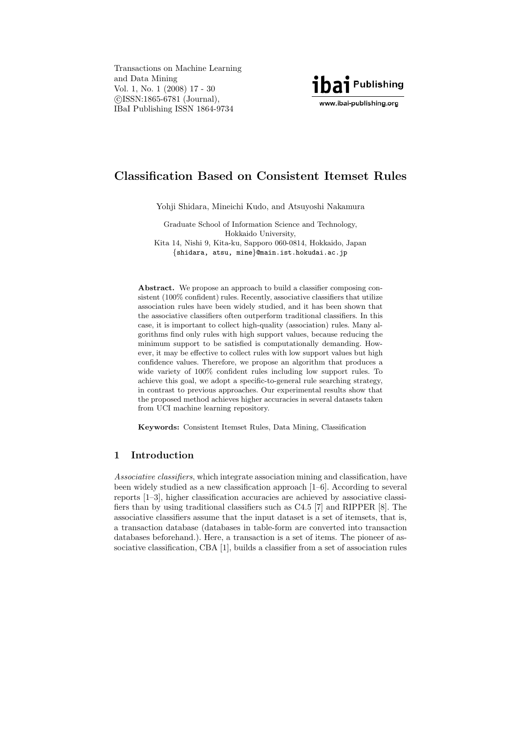Transactions on Machine Learning and Data Mining Vol. 1, No. 1 (2008) 17 - 30 c ISSN:1865-6781 (Journal), IBaI Publishing ISSN 1864-9734



# **Classification Based on Consistent Itemset Rules**

Yohji Shidara, Mineichi Kudo, and Atsuyoshi Nakamura

Graduate School of Information Science and Technology, Hokkaido University, Kita 14, Nishi 9, Kita-ku, Sapporo 060-0814, Hokkaido, Japan {shidara, atsu, mine}@main.ist.hokudai.ac.jp

Abstract. We propose an approach to build a classifier composing consistent (100% confident) rules. Recently, associative classifiers that utilize association rules have been widely studied, and it has been shown that the associative classifiers often outperform traditional classifiers. In this case, it is important to collect high-quality (association) rules. Many algorithms find only rules with high support values, because reducing the minimum support to be satisfied is computationally demanding. However, it may be effective to collect rules with low support values but high confidence values. Therefore, we propose an algorithm that produces a wide variety of 100% confident rules including low support rules. To achieve this goal, we adopt a specific-to-general rule searching strategy, in contrast to previous approaches. Our experimental results show that the proposed method achieves higher accuracies in several datasets taken from UCI machine learning repository.

**Keywords:** Consistent Itemset Rules, Data Mining, Classification

# **1 Introduction**

Associative classifiers, which integrate association mining and classification, have been widely studied as a new classification approach [1–6]. According to several reports [1–3], higher classification accuracies are achieved by associative classifiers than by using traditional classifiers such as C4.5 [7] and RIPPER [8]. The associative classifiers assume that the input dataset is a set of itemsets, that is, a transaction database (databases in table-form are converted into transaction databases beforehand.). Here, a transaction is a set of items. The pioneer of associative classification, CBA [1], builds a classifier from a set of association rules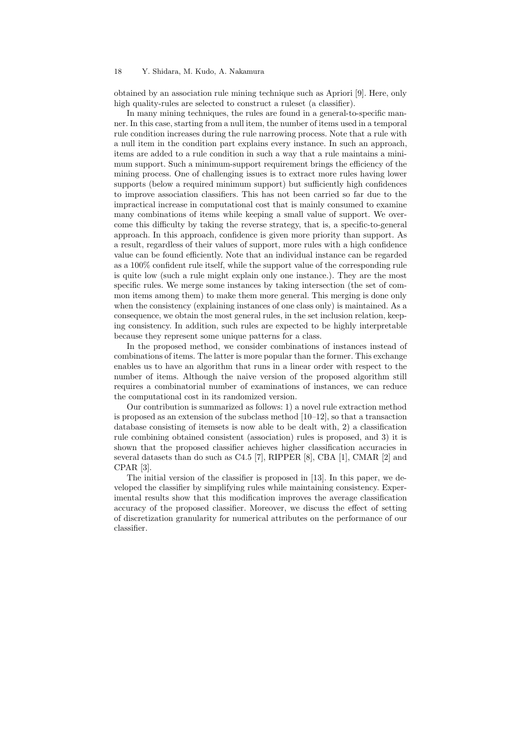#### 18 Y. Shidara, M. Kudo, A. Nakamura

obtained by an association rule mining technique such as Apriori [9]. Here, only high quality-rules are selected to construct a ruleset (a classifier).

In many mining techniques, the rules are found in a general-to-specific manner. In this case, starting from a null item, the number of items used in a temporal rule condition increases during the rule narrowing process. Note that a rule with a null item in the condition part explains every instance. In such an approach, items are added to a rule condition in such a way that a rule maintains a minimum support. Such a minimum-support requirement brings the efficiency of the mining process. One of challenging issues is to extract more rules having lower supports (below a required minimum support) but sufficiently high confidences to improve association classifiers. This has not been carried so far due to the impractical increase in computational cost that is mainly consumed to examine many combinations of items while keeping a small value of support. We overcome this difficulty by taking the reverse strategy, that is, a specific-to-general approach. In this approach, confidence is given more priority than support. As a result, regardless of their values of support, more rules with a high confidence value can be found efficiently. Note that an individual instance can be regarded as a 100% confident rule itself, while the support value of the corresponding rule is quite low (such a rule might explain only one instance.). They are the most specific rules. We merge some instances by taking intersection (the set of common items among them) to make them more general. This merging is done only when the consistency (explaining instances of one class only) is maintained. As a consequence, we obtain the most general rules, in the set inclusion relation, keeping consistency. In addition, such rules are expected to be highly interpretable because they represent some unique patterns for a class.

In the proposed method, we consider combinations of instances instead of combinations of items. The latter is more popular than the former. This exchange enables us to have an algorithm that runs in a linear order with respect to the number of items. Although the naive version of the proposed algorithm still requires a combinatorial number of examinations of instances, we can reduce the computational cost in its randomized version.

Our contribution is summarized as follows: 1) a novel rule extraction method is proposed as an extension of the subclass method  $[10–12]$ , so that a transaction database consisting of itemsets is now able to be dealt with, 2) a classification rule combining obtained consistent (association) rules is proposed, and 3) it is shown that the proposed classifier achieves higher classification accuracies in several datasets than do such as C4.5 [7], RIPPER [8], CBA [1], CMAR [2] and CPAR [3].

The initial version of the classifier is proposed in [13]. In this paper, we developed the classifier by simplifying rules while maintaining consistency. Experimental results show that this modification improves the average classification accuracy of the proposed classifier. Moreover, we discuss the effect of setting of discretization granularity for numerical attributes on the performance of our classifier.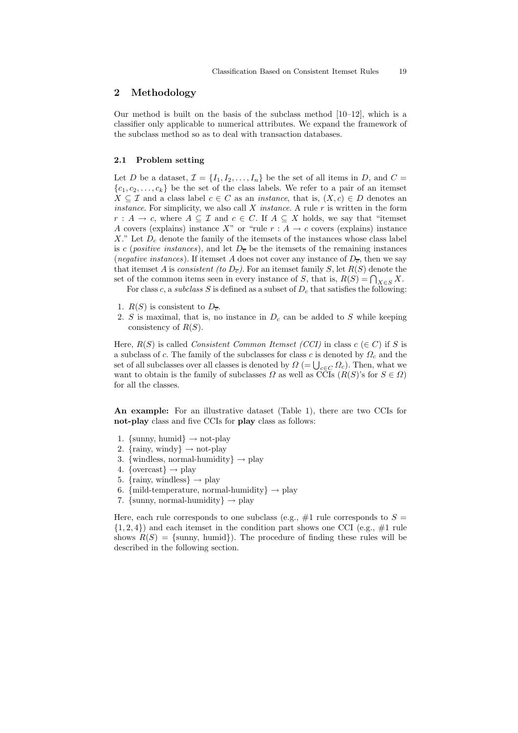# **2 Methodology**

Our method is built on the basis of the subclass method  $[10-12]$ , which is a classifier only applicable to numerical attributes. We expand the framework of the subclass method so as to deal with transaction databases.

#### **2.1 Problem setting**

Let D be a dataset,  $\mathcal{I} = \{I_1, I_2, \ldots, I_n\}$  be the set of all items in D, and  $C =$  ${c_1, c_2,..., c_k}$  be the set of the class labels. We refer to a pair of an itemset  $X \subseteq \mathcal{I}$  and a class label  $c \in C$  as an *instance*, that is,  $(X, c) \in D$  denotes an *instance*. For simplicity, we also call  $X$  *instance*. A rule  $r$  is written in the form  $r: A \to c$ , where  $A \subseteq \mathcal{I}$  and  $c \in C$ . If  $A \subseteq X$  holds, we say that "itemset" A covers (explains) instance X" or "rule  $r : A \to c$  covers (explains) instance X." Let  $D_c$  denote the family of the itemsets of the instances whose class label is c (positive instances), and let  $D_{\overline{c}}$  be the itemsets of the remaining instances (*negative instances*). If itemset A does not cover any instance of  $D_{\overline{c}}$ , then we say that itemset A is consistent (to  $D_{\overline{c}}$ ). For an itemset family S, let  $R(S)$  denote the set of the common items seen in every instance of S, that is,  $R(S) = \bigcap_{X \in S} X$ .

For class c, a subclass S is defined as a subset of  $D<sub>c</sub>$  that satisfies the following:

- 1.  $R(S)$  is consistent to  $D_{\overline{c}}$ .
- 2. S is maximal, that is, no instance in  $D<sub>c</sub>$  can be added to S while keeping consistency of  $R(S)$ .

Here,  $R(S)$  is called *Consistent Common Itemset (CCI)* in class  $c \in C$ ) if S is a subclass of c. The family of the subclasses for class c is denoted by  $\Omega_c$  and the set of all subclasses over all classes is denoted by  $\Omega = \bigcup_{c \in C} \Omega_c$ . Then, what we want to obtain is the family of subclasses  $\Omega$  as well as CCIs  $(R(S)$ 's for  $S \in \Omega$ ) for all the classes.

**An example:** For an illustrative dataset (Table 1), there are two CCIs for **not-play** class and five CCIs for **play** class as follows:

- 1. {sunny, humid}  $\rightarrow$  not-play
- 2. {rainy, windy}  $\rightarrow$  not-play
- 3. {windless, normal-humidity}  $\rightarrow$  play
- 4. { $overses\} \rightarrow \text{play}$
- 5. {rainy, windless}  $\rightarrow$  play
- 6. {mild-temperature, normal-humidity}  $\rightarrow$  play
- 7. {sunny, normal-humidity}  $\rightarrow$  play

Here, each rule corresponds to one subclass (e.g.,  $\#1$  rule corresponds to  $S =$  $\{1, 2, 4\}$  and each itemset in the condition part shows one CCI (e.g.,  $\#1$  rule shows  $R(S) = \{\text{sumny, humid}\}\)$ . The procedure of finding these rules will be described in the following section.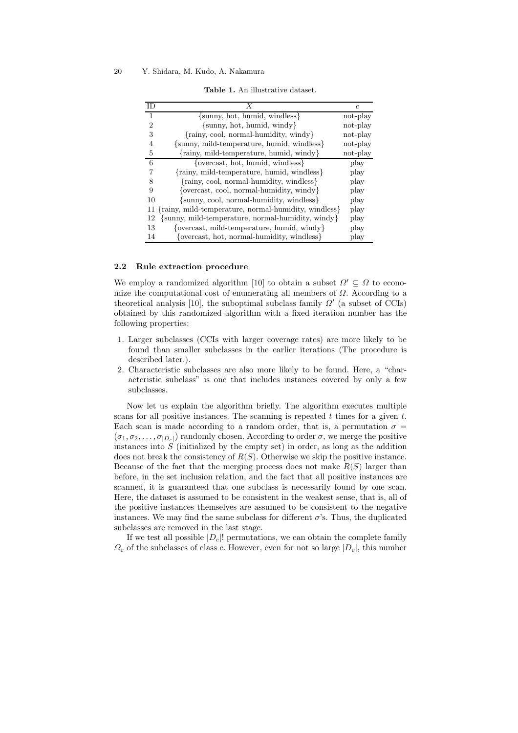| ΙD             |                                                             |          |
|----------------|-------------------------------------------------------------|----------|
|                | {sunny, hot, humid, windless}                               | not-play |
| $\mathfrak{D}$ | $\{\text{sumny}, \text{hot}, \text{humid}, \text{windy}\}\$ | not-play |
| 3              | $\{\text{rainy, cool, normal-humidity, window}\}$           | not-play |
| 4              | {sunny, mild-temperature, humid, windless}                  | not-play |
| 5              | {rainy, mild-temperature, humid, windy}                     | not-play |
| 6              | {overcast, hot, humid, windless}                            | play     |
| 7              | {rainy, mild-temperature, humid, windless}                  | play     |
| 8              | {rainy, cool, normal-humidity, windless}                    | play     |
| 9              | {overcast, cool, normal-humidity, windy}                    | play     |
| 10             | {sunny, cool, normal-humidity, windless}                    | play     |
|                | {rainy, mild-temperature, normal-humidity, windless}        | play     |
| 12             | {sunny, mild-temperature, normal-humidity, windy}           | play     |
| 13             | {overcast, mild-temperature, humid, windy}                  | play     |
| 14             | {overcast, hot, normal-humidity, windless}                  | play     |

**Table 1.** An illustrative dataset.

#### **2.2 Rule extraction procedure**

We employ a randomized algorithm [10] to obtain a subset  $\Omega' \subseteq \Omega$  to economize the computational cost of enumerating all members of  $\Omega$ . According to a theoretical analysis [10], the suboptimal subclass family  $\Omega'$  (a subset of CCIs) obtained by this randomized algorithm with a fixed iteration number has the following properties:

- 1. Larger subclasses (CCIs with larger coverage rates) are more likely to be found than smaller subclasses in the earlier iterations (The procedure is described later.).
- 2. Characteristic subclasses are also more likely to be found. Here, a "characteristic subclass" is one that includes instances covered by only a few subclasses.

Now let us explain the algorithm briefly. The algorithm executes multiple scans for all positive instances. The scanning is repeated  $t$  times for a given  $t$ . Each scan is made according to a random order, that is, a permutation  $\sigma =$  $(\sigma_1, \sigma_2, \ldots, \sigma_{|D_{\alpha}|})$  randomly chosen. According to order  $\sigma$ , we merge the positive instances into  $S$  (initialized by the empty set) in order, as long as the addition does not break the consistency of  $R(S)$ . Otherwise we skip the positive instance. Because of the fact that the merging process does not make  $R(S)$  larger than before, in the set inclusion relation, and the fact that all positive instances are scanned, it is guaranteed that one subclass is necessarily found by one scan. Here, the dataset is assumed to be consistent in the weakest sense, that is, all of the positive instances themselves are assumed to be consistent to the negative instances. We may find the same subclass for different  $\sigma$ 's. Thus, the duplicated subclasses are removed in the last stage.

If we test all possible  $|D_c|$ ! permutations, we can obtain the complete family  $\Omega_c$  of the subclasses of class c. However, even for not so large  $|D_c|$ , this number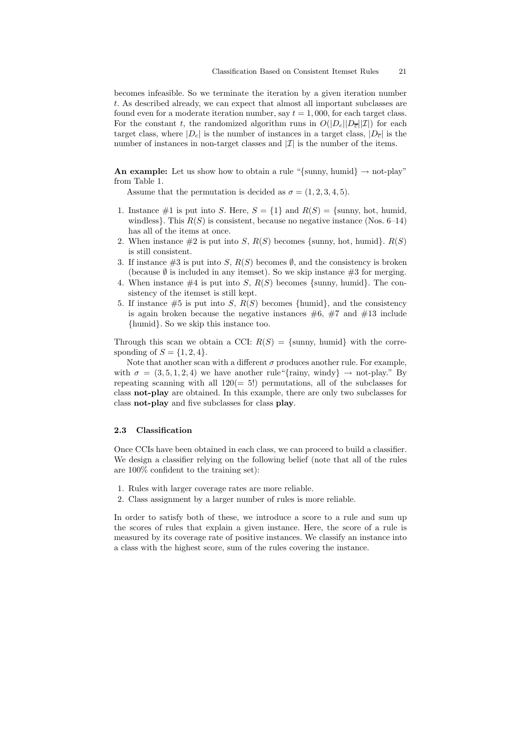becomes infeasible. So we terminate the iteration by a given iteration number t. As described already, we can expect that almost all important subclasses are found even for a moderate iteration number, say  $t = 1,000$ , for each target class. For the constant t, the randomized algorithm runs in  $O(|D_c||D<sub>\tau</sub>||\mathcal{I}|)$  for each target class, where  $|D_c|$  is the number of instances in a target class,  $|D_{\overline{c}}|$  is the number of instances in non-target classes and  $|\mathcal{I}|$  is the number of the items.

**An example:** Let us show how to obtain a rule "{sunny, humid}  $\rightarrow$  not-play" from Table 1.

Assume that the permutation is decided as  $\sigma = (1, 2, 3, 4, 5)$ .

- 1. Instance #1 is put into S. Here,  $S = \{1\}$  and  $R(S) = \{\text{sumny, hot, humid,}\}$ windless}. This  $R(S)$  is consistent, because no negative instance (Nos. 6–14) has all of the items at once.
- 2. When instance  $\#2$  is put into S,  $R(S)$  becomes {sunny, hot, humid}.  $R(S)$ is still consistent.
- 3. If instance  $\#3$  is put into S,  $R(S)$  becomes  $\emptyset$ , and the consistency is broken (because  $\emptyset$  is included in any itemset). So we skip instance  $\#3$  for merging.
- 4. When instance  $\#4$  is put into S,  $R(S)$  becomes {sunny, humid}. The consistency of the itemset is still kept.
- 5. If instance  $\#5$  is put into S,  $R(S)$  becomes {humid}, and the consistency is again broken because the negative instances  $\#6, \#7$  and  $\#13$  include {humid}. So we skip this instance too.

Through this scan we obtain a CCI:  $R(S) = \{\text{sumny}, \text{ humid}\}\$  with the corresponding of  $S = \{1, 2, 4\}.$ 

Note that another scan with a different  $\sigma$  produces another rule. For example, with  $\sigma = (3, 5, 1, 2, 4)$  we have another rule  $\{\text{rainy}, \text{windy}\} \rightarrow \text{not-play." By}$ repeating scanning with all  $120(= 5!)$  permutations, all of the subclasses for class **not-play** are obtained. In this example, there are only two subclasses for class **not-play** and five subclasses for class **play**.

## **2.3 Classification**

Once CCIs have been obtained in each class, we can proceed to build a classifier. We design a classifier relying on the following belief (note that all of the rules are 100% confident to the training set):

- 1. Rules with larger coverage rates are more reliable.
- 2. Class assignment by a larger number of rules is more reliable.

In order to satisfy both of these, we introduce a score to a rule and sum up the scores of rules that explain a given instance. Here, the score of a rule is measured by its coverage rate of positive instances. We classify an instance into a class with the highest score, sum of the rules covering the instance.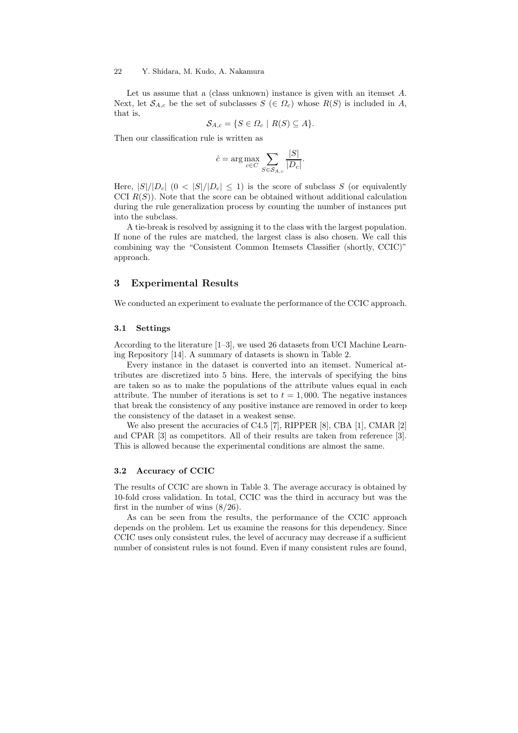#### 22 Y. Shidara, M. Kudo, A. Nakamura

Let us assume that a (class unknown) instance is given with an itemset A. Next, let  $\mathcal{S}_{A,c}$  be the set of subclasses  $S \in \Omega_c$ ) whose  $R(S)$  is included in A, that is,

$$
\mathcal{S}_{A,c} = \{ S \in \Omega_c \mid R(S) \subseteq A \}.
$$

Then our classification rule is written as

$$
\hat{c} = \arg \max_{c \in C} \sum_{S \in \mathcal{S}_{A,c}} \frac{|S|}{|D_c|}.
$$

Here,  $|S|/|D_c|$   $(0 < |S|/|D_c| \le 1)$  is the score of subclass S (or equivalently CCI  $R(S)$ ). Note that the score can be obtained without additional calculation during the rule generalization process by counting the number of instances put into the subclass.

A tie-break is resolved by assigning it to the class with the largest population. If none of the rules are matched, the largest class is also chosen. We call this combining way the "Consistent Common Itemsets Classifier (shortly, CCIC)" approach.

## **3 Experimental Results**

We conducted an experiment to evaluate the performance of the CCIC approach.

#### **3.1 Settings**

According to the literature [1–3], we used 26 datasets from UCI Machine Learning Repository [14]. A summary of datasets is shown in Table 2.

Every instance in the dataset is converted into an itemset. Numerical attributes are discretized into 5 bins. Here, the intervals of specifying the bins are taken so as to make the populations of the attribute values equal in each attribute. The number of iterations is set to  $t = 1,000$ . The negative instances that break the consistency of any positive instance are removed in order to keep the consistency of the dataset in a weakest sense.

We also present the accuracies of C4.5 [7], RIPPER [8], CBA [1], CMAR [2] and CPAR [3] as competitors. All of their results are taken from reference [3]. This is allowed because the experimental conditions are almost the same.

#### **3.2 Accuracy of CCIC**

The results of CCIC are shown in Table 3. The average accuracy is obtained by 10-fold cross validation. In total, CCIC was the third in accuracy but was the first in the number of wins  $(8/26)$ .

As can be seen from the results, the performance of the CCIC approach depends on the problem. Let us examine the reasons for this dependency. Since CCIC uses only consistent rules, the level of accuracy may decrease if a sufficient number of consistent rules is not found. Even if many consistent rules are found,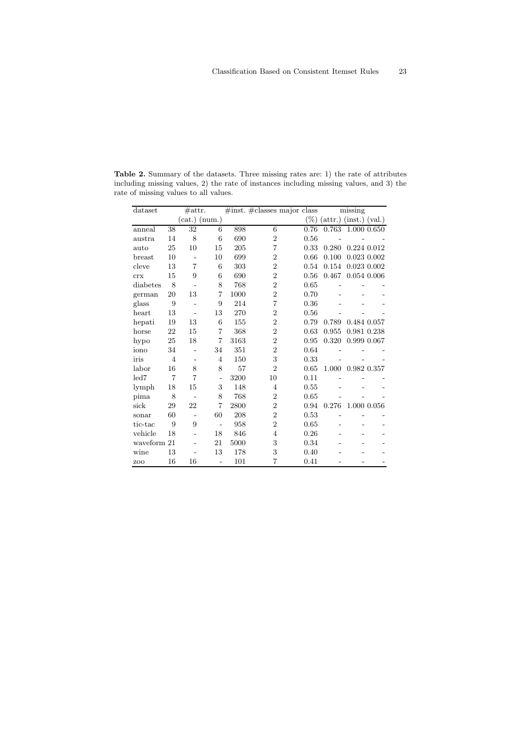| $_{\rm dataset}$ |                | $\#$ attr.      |                          |         | $\#inst.$ $\#classes$ major class |        | missing                           |  |
|------------------|----------------|-----------------|--------------------------|---------|-----------------------------------|--------|-----------------------------------|--|
|                  |                | $(cat.)$ (num.) |                          |         |                                   | $(\%)$ | (int.) (val.)<br>$(\text{attr.})$ |  |
| anneal           | 38             | 32              | 6                        | 898     | 6                                 | 0.76   | 0.763<br>1.000 0.650              |  |
| austra           | 14             | 8               | 6                        | 690     | $\overline{2}$                    | 0.56   |                                   |  |
| auto             | 25             | 10              | 15                       | $205\,$ | 7                                 | 0.33   | 0.280<br>0.224 0.012              |  |
| break            | 10             |                 | 10                       | 699     | $\overline{2}$                    | 0.66   | 0.100<br>0.023 0.002              |  |
| cleve            | 13             | 7               | 6                        | 303     | $\overline{2}$                    | 0.54   | 0.023 0.002<br>0.154              |  |
| <b>crx</b>       | 15             | 9               | 6                        | 690     | $\overline{2}$                    | 0.56   | 0.467<br>$0.054$ $0.006$          |  |
| diabetes         | 8              |                 | 8                        | 768     | $\overline{2}$                    | 0.65   |                                   |  |
| german           | 20             | 13              | 7                        | 1000    | $\overline{2}$                    | 0.70   |                                   |  |
| glass            | 9              |                 | 9                        | 214     | 7                                 | 0.36   |                                   |  |
| heart            | 13             |                 | 13                       | 270     | $\overline{2}$                    | 0.56   |                                   |  |
| hepati           | 19             | 13              | 6                        | 155     | $\overline{2}$                    | 0.79   | 0.789<br>0.484 0.057              |  |
| horse            | 22             | 15              | 7                        | 368     | $\overline{2}$                    | 0.63   | 0.955<br>0.981 0.238              |  |
| hypo             | 25             | 18              | 7                        | 3163    | $\overline{2}$                    | 0.95   | 0.999 0.067<br>0.320              |  |
| iono             | 34             |                 | 34                       | 351     | $\overline{2}$                    | 0.64   |                                   |  |
| iris             | $\overline{4}$ |                 | $\overline{4}$           | 150     | 3                                 | 0.33   |                                   |  |
| labor            | 16             | 8               | 8                        | 57      | $\overline{2}$                    | 0.65   | 0.982 0.357<br>1.000              |  |
| led7             | $\overline{7}$ | 7               | $\overline{\phantom{m}}$ | 3200    | 10                                | 0.11   |                                   |  |
| lymph            | 18             | 15              | 3                        | 148     | $\overline{4}$                    | 0.55   |                                   |  |
| pima             | 8              |                 | 8                        | 768     | $\overline{2}$                    | 0.65   |                                   |  |
| sick             | 29             | 22              | 7                        | 2800    | $\overline{2}$                    | 0.94   | 1.000 0.056<br>0.276              |  |
| sonar            | 60             |                 | 60                       | 208     | $\overline{2}$                    | 0.53   |                                   |  |
| tic-tac          | 9              | 9               | $\overline{a}$           | 958     | $\overline{2}$                    | 0.65   |                                   |  |
| vehicle          | 18             |                 | 18                       | 846     | $\overline{4}$                    | 0.26   |                                   |  |
| waveform 21      |                |                 | 21                       | 5000    | 3                                 | 0.34   |                                   |  |
| wine             | 13             |                 | 13                       | 178     | 3                                 | 0.40   |                                   |  |
| ZOO              | 16             | 16              | $\overline{\phantom{a}}$ | 101     | 7                                 | 0.41   |                                   |  |

**Table 2.** Summary of the datasets. Three missing rates are: 1) the rate of attributes including missing values, 2) the rate of instances including missing values, and 3) the rate of missing values to all values.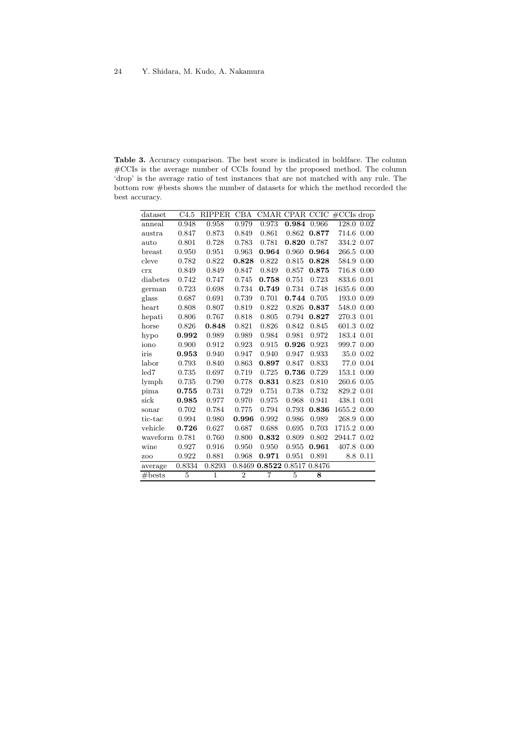**Table 3.** Accuracy comparison. The best score is indicated in boldface. The column #CCIs is the average number of CCIs found by the proposed method. The column 'drop' is the average ratio of test instances that are not matched with any rule. The bottom row #bests shows the number of datasets for which the method recorded the best accuracy.

| dataset  | C4.5   | <b>RIPPER</b> | CBA            |                             |       |       | CMAR CPAR CCIC #CCIs drop |          |
|----------|--------|---------------|----------------|-----------------------------|-------|-------|---------------------------|----------|
| anneal   | 0.948  | 0.958         | 0.979          | 0.973                       | 0.984 | 0.966 | 128.0                     | 0.02     |
| austra   | 0.847  | 0.873         | 0.849          | 0.861                       | 0.862 | 0.877 | 714.6                     | 0.00     |
| auto     | 0.801  | 0.728         | 0.783          | 0.781                       | 0.820 | 0.787 | 334.2                     | 0.07     |
| breast   | 0.950  | 0.951         | 0.963          | 0.964                       | 0.960 | 0.964 | 266.5                     | 0.00     |
| cleve    | 0.782  | 0.822         | 0.828          | 0.822                       | 0.815 | 0.828 | 584.9                     | 0.00     |
| crx      | 0.849  | 0.849         | 0.847          | 0.849                       | 0.857 | 0.875 | 716.8 0.00                |          |
| diabetes | 0.742  | 0.747         | 0.745          | 0.758                       | 0.751 | 0.723 | 833.6                     | 0.01     |
| german   | 0.723  | 0.698         | 0.734          | 0.749                       | 0.734 | 0.748 | 1635.6                    | 0.00     |
| glass    | 0.687  | 0.691         | 0.739          | 0.701                       | 0.744 | 0.705 | 193.0                     | 0.09     |
| heart    | 0.808  | 0.807         | 0.819          | 0.822                       | 0.826 | 0.837 | 548.0                     | 0.00     |
| hepati   | 0.806  | 0.767         | 0.818          | 0.805                       | 0.794 | 0.827 | 270.3 0.01                |          |
| horse    | 0.826  | 0.848         | 0.821          | 0.826                       | 0.842 | 0.845 | 601.3 0.02                |          |
| hypo     | 0.992  | 0.989         | 0.989          | 0.984                       | 0.981 | 0.972 | 183.4 0.01                |          |
| iono     | 0.900  | 0.912         | 0.923          | 0.915                       | 0.926 | 0.923 | 999.7 0.00                |          |
| iris     | 0.953  | 0.940         | 0.947          | 0.940                       | 0.947 | 0.933 | 35.0                      | 0.02     |
| labor    | 0.793  | 0.840         | 0.863          | 0.897                       | 0.847 | 0.833 | 77.0                      | 0.04     |
| led 7    | 0.735  | 0.697         | 0.719          | 0.725                       | 0.736 | 0.729 | 153.1                     | 0.00     |
| lymph    | 0.735  | 0.790         | 0.778          | 0.831                       | 0.823 | 0.810 | 260.6                     | 0.05     |
| pima     | 0.755  | 0.731         | 0.729          | 0.751                       | 0.738 | 0.732 | 829.2                     | 0.01     |
| sick     | 0.985  | 0.977         | 0.970          | 0.975                       | 0.968 | 0.941 | 438.1 0.01                |          |
| sonar    | 0.702  | 0.784         | 0.775          | 0.794                       | 0.793 | 0.836 | 1655.2                    | 0.00     |
| tic-tac  | 0.994  | 0.980         | 0.996          | 0.992                       | 0.986 | 0.989 | 268.9                     | 0.00     |
| vehicle  | 0.726  | 0.627         | 0.687          | 0.688                       | 0.695 | 0.703 | 1715.2 0.00               |          |
| waveform | 0.781  | 0.760         | 0.800          | 0.832                       | 0.809 | 0.802 | 2944.7 0.02               |          |
| wine     | 0.927  | 0.916         | 0.950          | 0.950                       | 0.955 | 0.961 | 407.8 0.00                |          |
| ZOO      | 0.922  | 0.881         | 0.968          | 0.971                       | 0.951 | 0.891 |                           | 8.8 0.11 |
| average  | 0.8334 | 0.8293        |                | 0.8469 0.8522 0.8517 0.8476 |       |       |                           |          |
| #bests   | 5      | $\mathbf{1}$  | $\overline{2}$ | 7                           | 5     | 8     |                           |          |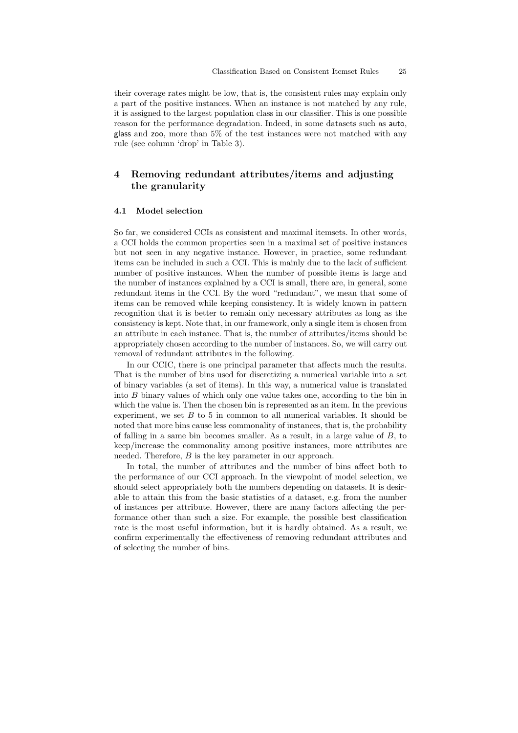their coverage rates might be low, that is, the consistent rules may explain only a part of the positive instances. When an instance is not matched by any rule, it is assigned to the largest population class in our classifier. This is one possible reason for the performance degradation. Indeed, in some datasets such as auto, glass and zoo, more than 5% of the test instances were not matched with any rule (see column 'drop' in Table 3).

# **4 Removing redundant attributes/items and adjusting the granularity**

#### **4.1 Model selection**

So far, we considered CCIs as consistent and maximal itemsets. In other words, a CCI holds the common properties seen in a maximal set of positive instances but not seen in any negative instance. However, in practice, some redundant items can be included in such a CCI. This is mainly due to the lack of sufficient number of positive instances. When the number of possible items is large and the number of instances explained by a CCI is small, there are, in general, some redundant items in the CCI. By the word "redundant", we mean that some of items can be removed while keeping consistency. It is widely known in pattern recognition that it is better to remain only necessary attributes as long as the consistency is kept. Note that, in our framework, only a single item is chosen from an attribute in each instance. That is, the number of attributes/items should be appropriately chosen according to the number of instances. So, we will carry out removal of redundant attributes in the following.

In our CCIC, there is one principal parameter that affects much the results. That is the number of bins used for discretizing a numerical variable into a set of binary variables (a set of items). In this way, a numerical value is translated into B binary values of which only one value takes one, according to the bin in which the value is. Then the chosen bin is represented as an item. In the previous experiment, we set  $B$  to 5 in common to all numerical variables. It should be noted that more bins cause less commonality of instances, that is, the probability of falling in a same bin becomes smaller. As a result, in a large value of B, to keep/increase the commonality among positive instances, more attributes are needed. Therefore, B is the key parameter in our approach.

In total, the number of attributes and the number of bins affect both to the performance of our CCI approach. In the viewpoint of model selection, we should select appropriately both the numbers depending on datasets. It is desirable to attain this from the basic statistics of a dataset, e.g. from the number of instances per attribute. However, there are many factors affecting the performance other than such a size. For example, the possible best classification rate is the most useful information, but it is hardly obtained. As a result, we confirm experimentally the effectiveness of removing redundant attributes and of selecting the number of bins.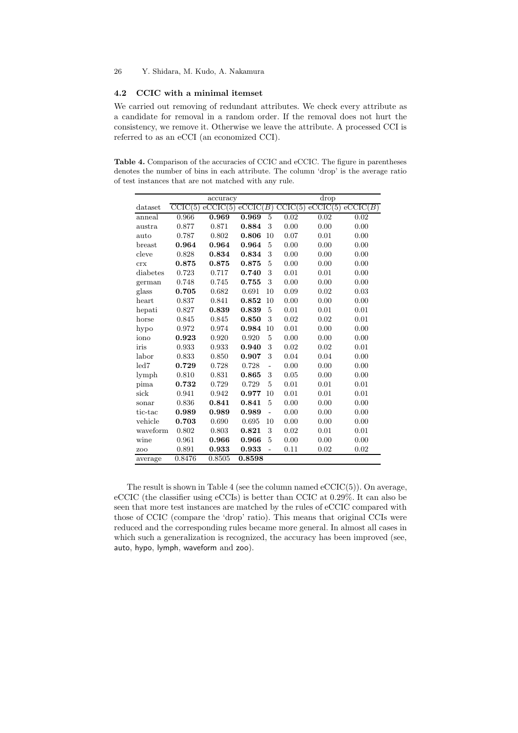# **4.2 CCIC with a minimal itemset**

We carried out removing of redundant attributes. We check every attribute as a candidate for removal in a random order. If the removal does not hurt the consistency, we remove it. Otherwise we leave the attribute. A processed CCI is referred to as an eCCI (an economized CCI).

**Table 4.** Comparison of the accuracies of CCIC and eCCIC. The figure in parentheses denotes the number of bins in each attribute. The column 'drop' is the average ratio of test instances that are not matched with any rule.

|          |         | accuracy            |                     |    |      | drop               |                     |
|----------|---------|---------------------|---------------------|----|------|--------------------|---------------------|
| dataset  | CCIC(5) | $\mathrm{eCCIC}(5)$ | $\mathrm{eCCIC}(B)$ |    |      | $CCIC(5)$ eCCIC(5) | $\mathrm{eCCIC}(B)$ |
| anneal   | 0.966   | 0.969               | 0.969               | 5  | 0.02 | 0.02               | 0.02                |
| austra   | 0.877   | 0.871               | 0.884               | 3  | 0.00 | 0.00               | 0.00                |
| auto     | 0.787   | 0.802               | 0.806               | 10 | 0.07 | 0.01               | 0.00                |
| breast   | 0.964   | 0.964               | 0.964               | 5  | 0.00 | 0.00               | 0.00                |
| cleve    | 0.828   | 0.834               | 0.834               | 3  | 0.00 | 0.00               | 0.00                |
| crx      | 0.875   | 0.875               | 0.875               | 5  | 0.00 | 0.00               | 0.00                |
| diabetes | 0.723   | 0.717               | 0.740               | 3  | 0.01 | 0.01               | 0.00                |
| german   | 0.748   | 0.745               | 0.755               | 3  | 0.00 | 0.00               | 0.00                |
| glass    | 0.705   | 0.682               | 0.691               | 10 | 0.09 | 0.02               | 0.03                |
| heart    | 0.837   | 0.841               | 0.852               | 10 | 0.00 | 0.00               | 0.00                |
| hepati   | 0.827   | 0.839               | 0.839               | 5  | 0.01 | 0.01               | 0.01                |
| horse    | 0.845   | 0.845               | 0.850               | 3  | 0.02 | 0.02               | 0.01                |
| hypo     | 0.972   | 0.974               | 0.984               | 10 | 0.01 | 0.00               | 0.00                |
| iono     | 0.923   | 0.920               | 0.920               | 5  | 0.00 | 0.00               | 0.00                |
| iris     | 0.933   | 0.933               | 0.940               | 3  | 0.02 | 0.02               | 0.01                |
| labor    | 0.833   | 0.850               | 0.907               | 3  | 0.04 | 0.04               | 0.00                |
| led7     | 0.729   | 0.728               | 0.728               |    | 0.00 | 0.00               | 0.00                |
| lymph    | 0.810   | 0.831               | 0.865               | 3  | 0.05 | 0.00               | 0.00                |
| pima     | 0.732   | 0.729               | 0.729               | 5  | 0.01 | 0.01               | 0.01                |
| sick     | 0.941   | 0.942               | 0.977               | 10 | 0.01 | 0.01               | 0.01                |
| sonar    | 0.836   | 0.841               | 0.841               | 5  | 0.00 | 0.00               | 0.00                |
| tic-tac  | 0.989   | 0.989               | 0.989               | L, | 0.00 | 0.00               | 0.00                |
| vehicle  | 0.703   | 0.690               | 0.695               | 10 | 0.00 | 0.00               | 0.00                |
| waveform | 0.802   | 0.803               | 0.821               | 3  | 0.02 | 0.01               | 0.01                |
| wine     | 0.961   | 0.966               | 0.966               | 5  | 0.00 | 0.00               | 0.00                |
| ZOO      | 0.891   | 0.933               | 0.933               |    | 0.11 | 0.02               | 0.02                |
| average  | 0.8476  | 0.8505              | 0.8598              |    |      |                    |                     |

The result is shown in Table 4 (see the column named  $eCCIC(5)$ ). On average, eCCIC (the classifier using eCCIs) is better than CCIC at 0.29%. It can also be seen that more test instances are matched by the rules of eCCIC compared with those of CCIC (compare the 'drop' ratio). This means that original CCIs were reduced and the corresponding rules became more general. In almost all cases in which such a generalization is recognized, the accuracy has been improved (see, auto, hypo, lymph, waveform and zoo).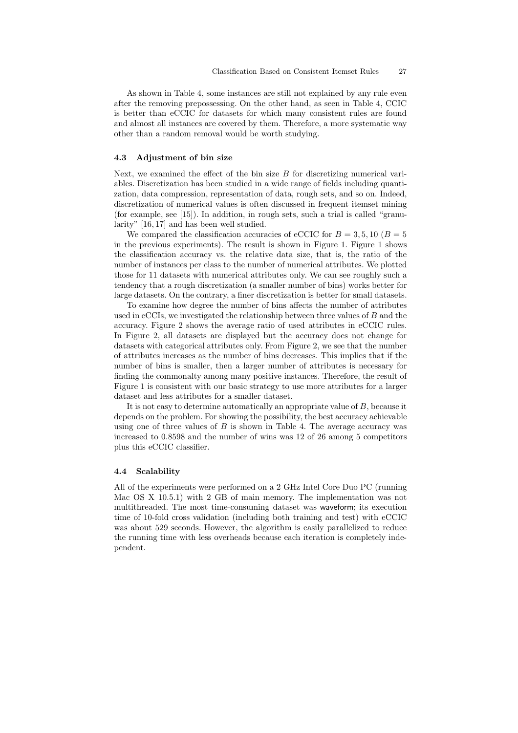As shown in Table 4, some instances are still not explained by any rule even after the removing prepossessing. On the other hand, as seen in Table 4, CCIC is better than eCCIC for datasets for which many consistent rules are found and almost all instances are covered by them. Therefore, a more systematic way other than a random removal would be worth studying.

#### **4.3 Adjustment of bin size**

Next, we examined the effect of the bin size  $B$  for discretizing numerical variables. Discretization has been studied in a wide range of fields including quantization, data compression, representation of data, rough sets, and so on. Indeed, discretization of numerical values is often discussed in frequent itemset mining (for example, see [15]). In addition, in rough sets, such a trial is called "granularity" [16, 17] and has been well studied.

We compared the classification accuracies of eCCIC for  $B = 3, 5, 10$  ( $B = 5$ ) in the previous experiments). The result is shown in Figure 1. Figure 1 shows the classification accuracy vs. the relative data size, that is, the ratio of the number of instances per class to the number of numerical attributes. We plotted those for 11 datasets with numerical attributes only. We can see roughly such a tendency that a rough discretization (a smaller number of bins) works better for large datasets. On the contrary, a finer discretization is better for small datasets.

To examine how degree the number of bins affects the number of attributes used in eCCIs, we investigated the relationship between three values of  $B$  and the accuracy. Figure 2 shows the average ratio of used attributes in eCCIC rules. In Figure 2, all datasets are displayed but the accuracy does not change for datasets with categorical attributes only. From Figure 2, we see that the number of attributes increases as the number of bins decreases. This implies that if the number of bins is smaller, then a larger number of attributes is necessary for finding the commonalty among many positive instances. Therefore, the result of Figure 1 is consistent with our basic strategy to use more attributes for a larger dataset and less attributes for a smaller dataset.

It is not easy to determine automatically an appropriate value of B, because it depends on the problem. For showing the possibility, the best accuracy achievable using one of three values of  $B$  is shown in Table 4. The average accuracy was increased to 0.8598 and the number of wins was 12 of 26 among 5 competitors plus this eCCIC classifier.

## **4.4 Scalability**

All of the experiments were performed on a 2 GHz Intel Core Duo PC (running Mac OS X 10.5.1) with 2 GB of main memory. The implementation was not multithreaded. The most time-consuming dataset was waveform; its execution time of 10-fold cross validation (including both training and test) with eCCIC was about 529 seconds. However, the algorithm is easily parallelized to reduce the running time with less overheads because each iteration is completely independent.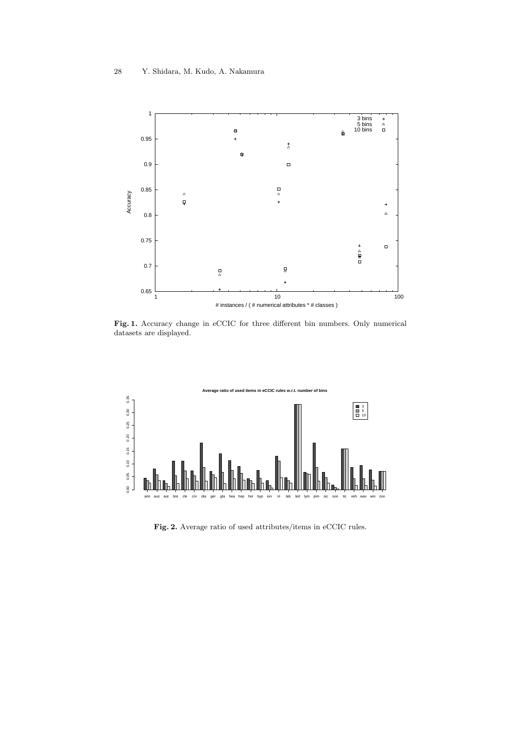

**Fig. 1.** Accuracy change in eCCIC for three different bin numbers. Only numerical datasets are displayed.



**Fig. 2.** Average ratio of used attributes/items in eCCIC rules.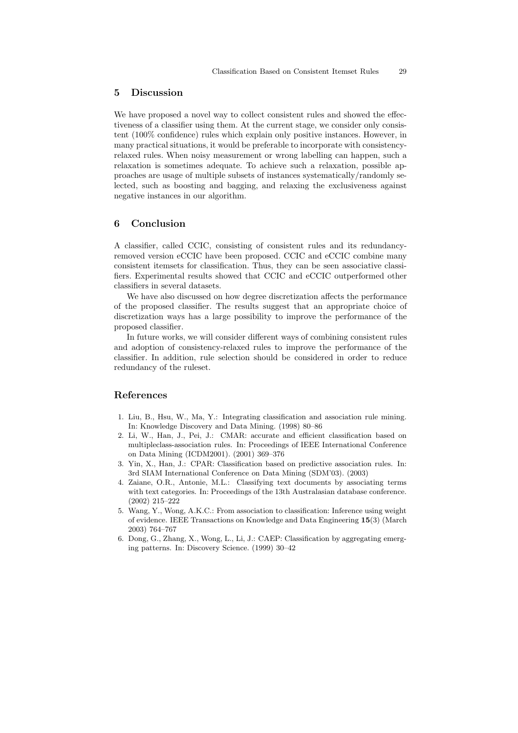## **5 Discussion**

We have proposed a novel way to collect consistent rules and showed the effectiveness of a classifier using them. At the current stage, we consider only consistent (100% confidence) rules which explain only positive instances. However, in many practical situations, it would be preferable to incorporate with consistencyrelaxed rules. When noisy measurement or wrong labelling can happen, such a relaxation is sometimes adequate. To achieve such a relaxation, possible approaches are usage of multiple subsets of instances systematically/randomly selected, such as boosting and bagging, and relaxing the exclusiveness against negative instances in our algorithm.

# **6 Conclusion**

A classifier, called CCIC, consisting of consistent rules and its redundancyremoved version eCCIC have been proposed. CCIC and eCCIC combine many consistent itemsets for classification. Thus, they can be seen associative classifiers. Experimental results showed that CCIC and eCCIC outperformed other classifiers in several datasets.

We have also discussed on how degree discretization affects the performance of the proposed classifier. The results suggest that an appropriate choice of discretization ways has a large possibility to improve the performance of the proposed classifier.

In future works, we will consider different ways of combining consistent rules and adoption of consistency-relaxed rules to improve the performance of the classifier. In addition, rule selection should be considered in order to reduce redundancy of the ruleset.

# **References**

- 1. Liu, B., Hsu, W., Ma, Y.: Integrating classification and association rule mining. In: Knowledge Discovery and Data Mining. (1998) 80–86
- 2. Li, W., Han, J., Pei, J.: CMAR: accurate and efficient classification based on multipleclass-association rules. In: Proceedings of IEEE International Conference on Data Mining (ICDM2001). (2001) 369–376
- 3. Yin, X., Han, J.: CPAR: Classification based on predictive association rules. In: 3rd SIAM International Conference on Data Mining (SDM'03). (2003)
- 4. Zaiane, O.R., Antonie, M.L.: Classifying text documents by associating terms with text categories. In: Proceedings of the 13th Australasian database conference. (2002) 215–222
- 5. Wang, Y., Wong, A.K.C.: From association to classification: Inference using weight of evidence. IEEE Transactions on Knowledge and Data Engineering **15**(3) (March 2003) 764–767
- 6. Dong, G., Zhang, X., Wong, L., Li, J.: CAEP: Classification by aggregating emerging patterns. In: Discovery Science. (1999) 30–42